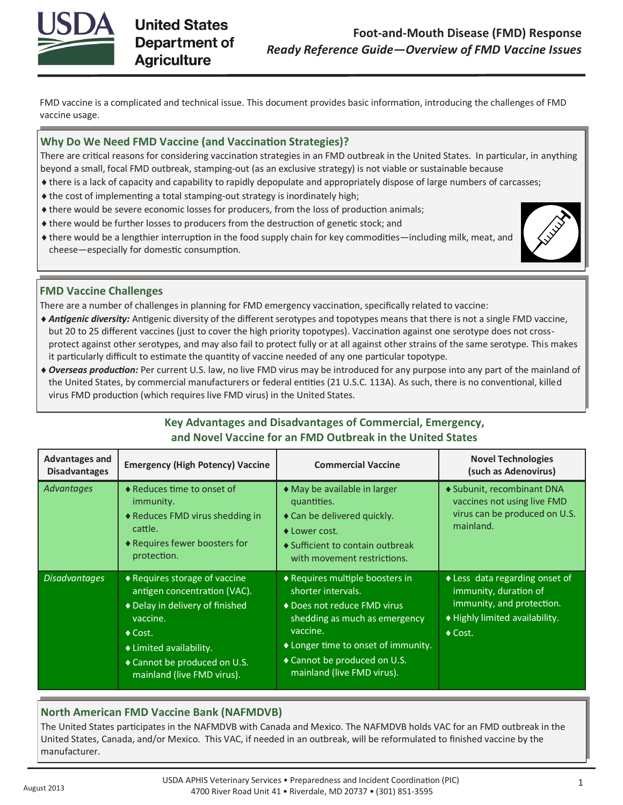

FMD vaccine is a complicated and technical issue. This document provides basic information, introducing the challenges of FMD vaccine usage.

## **Why Do We Need FMD Vaccine (and Vaccination Strategies)?**

There are critical reasons for considering vaccination strategies in an FMD outbreak in the United States. In particular, in anything beyond a small, focal FMD outbreak, stamping-out (as an exclusive strategy) is not viable or sustainable because

- there is a lack of capacity and capability to rapidly depopulate and appropriately dispose of large numbers of carcasses;
- the cost of implementing a total stamping-out strategy is inordinately high;
- there would be severe economic losses for producers, from the loss of production animals;
- there would be further losses to producers from the destruction of genetic stock; and
- there would be a lengthier interruption in the food supply chain for key commodities—including milk, meat, and cheese—especially for domestic consumption.



# **FMD Vaccine Challenges**

There are a number of challenges in planning for FMD emergency vaccination, specifically related to vaccine:

- *Antigenic diversity:* Antigenic diversity of the different serotypes and topotypes means that there is not a single FMD vaccine, but 20 to 25 different vaccines (just to cover the high priority topotypes). Vaccination against one serotype does not crossprotect against other serotypes, and may also fail to protect fully or at all against other strains of the same serotype. This makes it particularly difficult to estimate the quantity of vaccine needed of any one particular topotype.
- *Overseas production:* Per current U.S. law, no live FMD virus may be introduced for any purpose into any part of the mainland of the United States, by commercial manufacturers or federal entities (21 U.S.C. 113A). As such, there is no conventional, killed virus FMD production (which requires live FMD virus) in the United States.

# **Key Advantages and Disadvantages of Commercial, Emergency, and Novel Vaccine for an FMD Outbreak in the United States**

| <b>Advantages and</b><br><b>Disadvantages</b> | <b>Emergency (High Potency) Vaccine</b>                                                                                                                                                                                              | <b>Commercial Vaccine</b>                                                                                                                                                                                                              | <b>Novel Technologies</b><br>(such as Adenovirus)                                                                                           |
|-----------------------------------------------|--------------------------------------------------------------------------------------------------------------------------------------------------------------------------------------------------------------------------------------|----------------------------------------------------------------------------------------------------------------------------------------------------------------------------------------------------------------------------------------|---------------------------------------------------------------------------------------------------------------------------------------------|
| Advantages                                    | ◆ Reduces time to onset of<br>immunity.<br>◆ Reduces FMD virus shedding in<br>cattle.<br>◆ Requires fewer boosters for<br>protection.                                                                                                | • May be available in larger<br>quantities.<br>◆ Can be delivered quickly.<br>◆ Lower cost.<br>♦ Sufficient to contain outbreak<br>with movement restrictions.                                                                         | ◆ Subunit, recombinant DNA<br>vaccines not using live FMD<br>virus can be produced on U.S.<br>mainland.                                     |
| <b>Disadvantages</b>                          | $\triangle$ Requires storage of vaccine<br>antigen concentration (VAC).<br>◆ Delay in delivery of finished<br>vaccine.<br>$\triangle$ Cost.<br>◆ Limited availability.<br>◆ Cannot be produced on U.S.<br>mainland (live FMD virus). | ◆ Requires multiple boosters in<br>shorter intervals.<br>◆ Does not reduce FMD virus<br>shedding as much as emergency<br>vaccine.<br>♦ Longer time to onset of immunity.<br>◆ Cannot be produced on U.S.<br>mainland (live FMD virus). | ◆ Less data regarding onset of<br>immunity, duration of<br>immunity, and protection.<br>♦ Highly limited availability.<br>$\triangle$ Cost. |

# **North American FMD Vaccine Bank (NAFMDVB)**

The United States participates in the NAFMDVB with Canada and Mexico. The NAFMDVB holds VAC for an FMD outbreak in the United States, Canada, and/or Mexico. This VAC, if needed in an outbreak, will be reformulated to finished vaccine by the manufacturer.